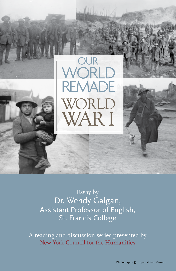

Essay by Dr. Wendy Galgan, Assistant Professor of English, St. Francis College

A reading and discussion series presented by New York Council for the Humanities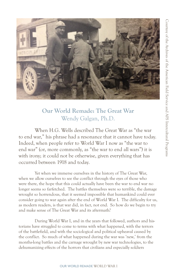

**Our World Remade: The Great War** Wendy Galgan, Ph.D.

When H.G. Wells described The Great War as "the war to end war," his phrase had a resonance that it cannot have today. Indeed, when people refer to World War I now as "the war to end war" (or, more commonly, as "the war to end all wars") it is with irony; it could not be otherwise, given everything that has occurred between 1918 and today.

Yet when we immerse ourselves in the history of The Great War, when we allow ourselves to see the conflict through the eyes of those who were there, the hope that this could actually have been the war to end war no longer seems so farfetched. The battles themselves were so terrible, the damage wrought so horrendous, that it seemed impossible that humankind could ever consider going to war again after the end of World War I. The difficulty for us, as modern readers, is that war did, in fact, not end. So how do we begin to try and make sense of The Great War and its aftermath?

During World War I, and in the years that followed, authors and historians have struggled to come to terms with what happened, with the terrors of the battlefield, and with the sociological and political upheaval caused by the conflict. So much of what happened during the war was 'new,' from the months-long battles and the carnage wrought by new war technologies, to the dehumanizing effects of the horrors that civilians and especially soldiers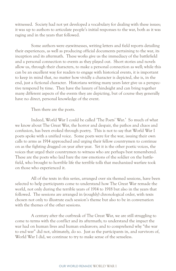witnessed. Society had not yet developed a vocabulary for dealing with these issues; it was up to authors to articulate people's initial responses to the war, both as it was raging and in the years that followed.

Some authors were eyewitnesses, writing letters and field reports detailing their experiences, as well as producing official documents pertaining to the war, its inception and its aftermath. These works give us the immediacy of the battlefield and a personal connection to events as they played out. Short stories and novels allow us, through their characters, to make a personal connection as well; while this can be an excellent way for readers to engage with historical events, it is important to keep in mind that, no matter how vividly a character is depicted, she is, in the end, just a fictional character. Historians writing many years later give us a perspective tempered by time. They have the luxury of hindsight and can bring together many different aspects of the events they are depicting, but of course they generally have no direct, personal knowledge of the event.

Then there are the poets.

Indeed, World War I could be called 'The Poets' War.' So much of what we know about The Great War, the horror and despair, the pathos and chaos and confusion, has been evoked through poetry. This is not to say that World War I poets spoke with a unified voice. Some poets were for the war, issuing their own calls to arms as 1914 approached and urging their fellow countrymen to continue on as the fighting dragged on year after year. Yet it is the other poetic voices, the voices that urged their countrymen to witness who are perhaps best remembered. These are the poets who laid bare the raw emotions of the soldier on the battlefield, who brought to horrible life the terrible tolls that mechanized warfare took on those who experienced it.

All of the texts in this series, arranged over six themed sessions, have been selected to help participants come to understand how The Great War remade the world, not only during the terrible years of 1914 to 1918 but also in the years that followed. The sessions are arranged in (roughly) chronological order, with texts chosen not only to illustrate each session's theme but also to be in conversation with the themes of the other sessions.

A century after the outbreak of The Great War, we are still struggling to come to terms with the conflict and its aftermath; to understand the impact the war had on human lives and human endeavors; and to comprehend why "the war to end war" did not, ultimately, do so. Just as the participants in, and survivors of, World War I did, we continue to try to make sense of the senseless.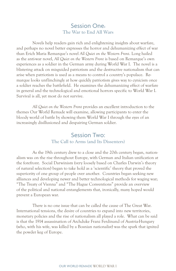## Session One**: The War to End All Wars**

Novels help readers gain rich and enlightening insights about warfare, and perhaps no novel better expresses the horror and dehumanizing effect of war than Erich Maria Remarque's novel *All Quiet on the Western Front*. Long hailed as the anti-war novel, *All Quiet on the Western Front* is based on Remarque's own experiences as a soldier in the German army during World War I. The novel is a blistering attack on misguided patriotism and the destructive nationalism that can arise when patriotism is used as a means to control a country's populace. Remarque looks unflinchingly at how quickly patriotism gives way to cynicism once a soldier reaches the battlefield. He examines the dehumanizing effect of warfare in general and the technological and emotional horrors specific to World War I. Survival is all, yet most do not survive.

*All Quiet on the Western Front* provides an excellent introduction to the themes Our World Remade will examine, allowing participants to enter the bloody world of battle by showing them World War I through the eyes of an increasingly disillusioned and despairing German soldier.

## Session Two: **The Call to Arms (and Its Dissenters)**

As the 19th century drew to a close and the 20th century began, nationalism was on the rise throughout Europe, with German and Italian unification at the forefront. Social Darwinism (very loosely based on Charles Darwin's theory of natural selection) began to take hold as a 'scientific' theory that proved the superiority of one group of people over another. Countries began seeking new alliances and developing newer and better technological methods for waging war; "The Treaty of Vienna" and "The Hague Conventions" provide an overview of the political and national entanglements that, ironically, many hoped would prevent a European war.

There is no one issue that can be called the cause of The Great War. International tensions, the desire of countries to expand into new territories, monetary policies and the rise of nationalism all played a role. What can be said is that the 1914 assassination of Archduke Franz Ferdinand of Austria-Hungary (who, with his wife, was killed by a Bosnian nationalist) was the spark that ignited the powder keg of Europe.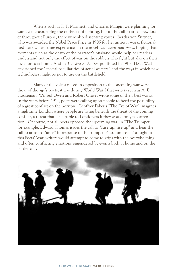Writers such as F. T. Marinetti and Charles Mangin were planning for war, even encouraging the outbreak of fighting, but as the call to arms grew louder throughout Europe, there were also dissenting voices. Bertha von Suttner, who was awarded the Nobel Peace Prize in 1905 for her anti-war work, fictionalized her own wartime experiences in the novel *Lay Down Your Arms*, hoping that moments such as the death of the narrator's husband would help her readers understand not only the effect of war on the soldiers who fight but also on their loved ones at home. And in *The War in the Air*, published in 1908, H.G. Wells envisioned the "special peculiarities of aerial warfare" and the ways in which new technologies might be put to use on the battlefield.

Many of the voices raised in opposition to the oncoming war were those of the age's poets; it was during World War I that writers such as A. E. Houseman, Wilfred Owen and Robert Graves wrote some of their best works. In the years before 1914, poets were calling upon people to heed the possibility of a great conflict on the horizon. Geoffrey Faber's "The Eve of War" imagines a nighttime London where people are living beneath the threat of the coming conflict, a threat that is palpable to Londoners if they would only pay attention. Of course, not all poets opposed the upcoming war; in "The Trumpet," for example, Edward Thomas issues the call to "Rise up, rise up" and hear the call to arms, to "arise" in response to the trumpeter's summons. Throughout this Poets' War, writers would attempt to come to grips with the overwhelming and often conflicting emotions engendered by events both at home and on the battlefront.

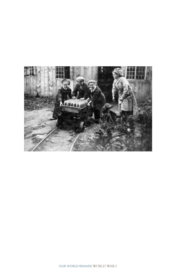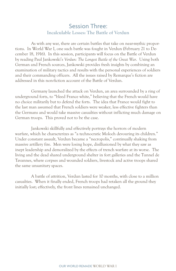# Session Three: **Incalculable Losses: The Battle of Verdun**

As with any war, there are certain battles that take on near-mythic proportions. In World War I, one such battle was fought in Verdun (February 21 to December 18, 1916). In this session, participants will focus on the Battle of Verdun by reading Paul Jankowski's *Verdun: The Longest Battle of the Great War*. Using both German and French sources, Jankowski provides fresh insights by combining an examination of military tactics and results with the personal experiences of soldiers and their commanding officers. All the issues raised by Remarque's fiction are addressed in this non-fiction account of the Battle of Verdun.

Germany launched the attack on Verdun, an area surrounded by a ring of underground forts, to "bleed France white," believing that the French would have no choice militarily but to defend the forts. The idea that France would fight to the last man assumed that French soldiers were weaker, less effective fighters than the Germans and would take massive casualties without inflicting much damage on German troops. This proved not to be the case.

Jankowski skillfully and effectively portrays the horrors of modern warfare, which he characterizes as "a technocratic Moloch devouring its children." Under constant assault, Verdun became a "necropolis," continually shaking from massive artillery fire. Men were losing hope, disillusioned by what they saw as inept leadership and demoralized by the effects of trench warfare at its worse. The living and the dead shared underground shelter in fort galleries and the Tunnel de Tavannes, where corpses and wounded soldiers, livestock and active troops shared the same unsanitary spaces.

A battle of attrition, Verdun lasted for 10 months, with close to a million casualties. When it finally ended, French troops had retaken all the ground they initially lost; effectively, the front lines remained unchanged.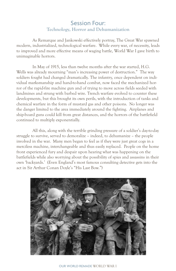## Session Four: **Technology, Horror and Dehumanization**

As Remarque and Jankowski effectively portray, The Great War spawned modern, industrialized, technological warfare. While every war, of necessity, leads to improved and more effective means of waging battle, World War I gave birth to unimaginable horrors.

In May of 1915, less than twelve months after the war started, H.G. Wells was already mourning "man's increasing power of destruction." The way soldiers fought had changed dramatically. The infantry, once dependent on individual marksmanship and hand-to-hand combat, now faced the mechanized horror of the rapid-fire machine gun and of trying to move across fields seeded with landmines and strung with barbed wire. Trench warfare evolved to counter these developments, but this brought its own perils, with the introduction of tanks and chemical warfare in the form of mustard gas and other poisons. No longer was the danger limited to the area immediately around the fighting. Airplanes and ship-board guns could kill from great distances, and the horrors of the battlefield continued to multiply exponentially.

All this, along with the terrible grinding pressure of a soldier's day-to-day struggle to survive, served to demoralize – indeed, to dehumanize – the people involved in the war. Many men began to feel as if they were just great cogs in a merciless machine, interchangeable and thus easily replaced. People on the home front experienced fury and despair upon hearing what was happening on the battlefields while also worrying about the possibility of spies and assassins in their own 'backyards.' (Even England's most famous consulting detective gets into the act in Sir Arthur Conan Doyle's "His Last Bow.")

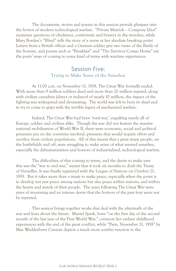The documents, stories and poems in this session provide glimpses into the horror of modern technological warfare. "Private Meyrick – Company Idiot" examines questions of obedience, conformity and bravery in the trenches, while Mary Borden's "Blind" tells the story of a nurse at her absolute breaking point. Letters from a British officer and a German soldier give two views of the Battle of the Somme, and poems such as "Breakfast" and "The Survivor Comes Home" are the poets' ways of coming to some kind of terms with wartime experiences.

## Session Five: **Trying to Make Sense of the Senseless**

At 11:00 a.m. on November 11, 1918, The Great War formally ended. With more than 9 million soldiers dead and more than 20 million injured, along with civilian casualties (direct or indirect) of nearly 10 million, the impact of the fighting was widespread and devastating. The world was left to bury its dead and to try to come to grips with the terrible legacy of mechanized warfare.

Indeed, The Great War had been 'total war,' engulfing nearly all of Europe, soldier and civilian alike. Though the war did not feature the massive national mobilization of World War II, there were economic, social and political pressures put on the countries involved, pressures that would require effort and sacrifice from civilian populations. All of this meant that a great many people, on the battlefields and off, were struggling to make sense of what seemed senseless, especially the dehumanization and horrors of industrialized, technological warfare.

The difficulties of this coming to terms, and the desire to make sure this was the "war to end war," meant that it took six months to draft the Treaty of Versailles. It was finally registered with the League of Nations on October 21, 1919. But it takes more than a treaty to make peace, especially when the point is to develop not just peace among nations but also peace within nations, and within the hearts and minds of their people. The years following The Great War were years of mourning and an intense desire that the horrors of the past four years not be repeated.

This session brings together works that deal with the aftermath of the war and fears about the future. Muriel Spark, born "on the first day of the second month of the last year of the First World War," connects her earliest childhood experiences with the end of the great conflict, while "Paris, November 11, 1918" by Mae Wedderburn Cannan depicts a much more somber reaction to the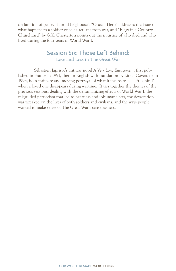declaration of peace. Harold Brighouse's "Once a Hero" addresses the issue of what happens to a soldier once he returns from war, and "Elegy in a Country Churchyard" by G.K. Chesterton points out the injustice of who died and who lived during the four years of World War I.

# Session Six: Those Left Behind: **Love and Loss in The Great War**

Sébastien Japrisot's antiwar novel *A Very Long Engagement*, first published in France in 1991, then in English with translation by Linda Coverdale in 1993, is an intimate and moving portrayal of what it means to be 'left behind' when a loved one disappears during wartime. It ties together the themes of the previous sessions, dealing with the dehumanizing effects of World War I, the misguided patriotism that led to heartless and inhumane acts, the devastation war wreaked on the lives of both soldiers and civilians, and the ways people worked to make sense of The Great War's senselessness.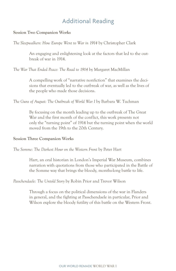# Additional Reading

## **Session Two Companion Works**

*The Sleepwalkers: How Europe Went to War in 1914* by Christopher Clark

An engaging and enlightening look at the factors that led to the outbreak of war in 1914.

*The War That Ended Peace: The Road to 1914* by Margaret MacMillan

A compelling work of "narrative nonfiction" that examines the decisions that eventually led to the outbreak of war, as well as the lives of the people who made those decisions.

*The Guns of August: The Outbreak of World War I* by Barbara W. Tuchman

By focusing on the month leading up to the outbreak of The Great War and the first month of the conflict, this work presents not only the "turning point" of 1914 but the turning point when the world moved from the 19th to the 20th Century.

## **Session Three Companion Works**

*The Somme: The Darkest Hour on the Western Front* by Peter Hart

Hart, an oral historian in London's Imperial War Museum, combines narration with quotations from those who participated in the Battle of the Somme way that brings the bloody, months-long battle to life.

*Passchendaele: The Untold Story* by Robin Prior and Trevor Wilson

Through a focus on the political dimensions of the war in Flanders in general, and the fighting at Passchendaele in particular, Prior and Wilson explore the bloody futility of this battle on the Western Front.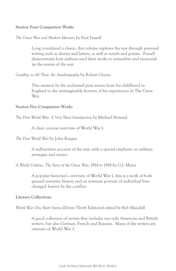## **Session Four Companion Works**

#### *The Great War and Modern Memory* by Paul Fussell

Long considered a classic, this volume explores the war through personal writing such as diaries and letters, as well as novels and poems. Fussell demonstrates how authors used their works to remember and memorial ize the events of the war.

*Goodbye to All That: An Autobiography* by Robert Graves

This memoir by the acclaimed poet moves from his childhood in England to the unimaginable horrors of his experiences in The Great War.

### **Session Five Companion Works**

*The First World War: A Very Short Introduction* by Michael Howard

A clear, concise overview of World War I.

*The First World War* by John Keegan

A well-written account of the war, with a special emphasis on military strategies and tactics.

*A World Undone: The Story of the Great War, 1914 to 1918* by G.J. Meyer

A popular historian's overview of World War I, this is a work of both general narrative history and an intimate portrait of individual lives changed forever by the conflict.

#### **Literary Collections**

*World War One Short Stories* (Dover Thrift Editions) edited by Bob Blaisdell

A good collection of stories that includes not only American and British writers, but also German, French and Russian. Many of the writers are veterans of World War I.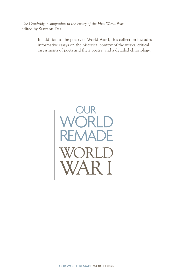*The Cambridge Companion to the Poetry of the First World War*  edited by Santanu Das

> In addition to the poetry of World War I, this collection includes informative essays on the historical context of the works, critical assessments of poets and their poetry, and a detailed chronology.